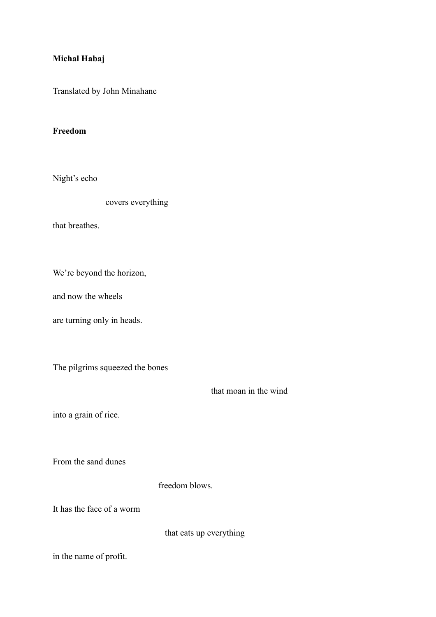## **Michal Habaj**

Translated by John Minahane

## **Freedom**

Night's echo

covers everything

that breathes.

We're beyond the horizon,

and now the wheels

are turning only in heads.

The pilgrims squeezed the bones

that moan in the wind

into a grain of rice.

From the sand dunes

freedom blows.

It has the face of a worm

that eats up everything

in the name of profit.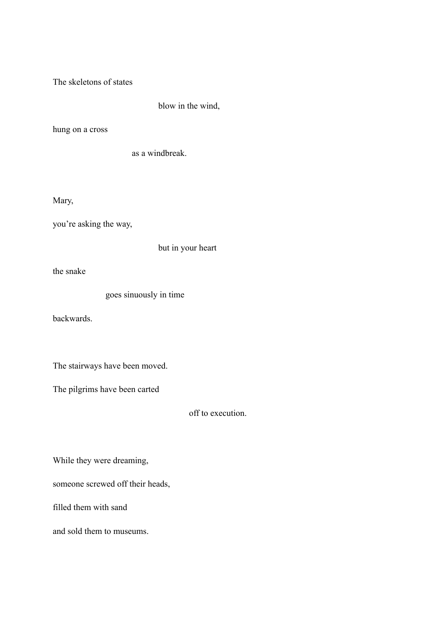The skeletons of states

blow in the wind,

hung on a cross

as a windbreak.

Mary,

you're asking the way,

but in your heart

the snake

goes sinuously in time

backwards.

The stairways have been moved.

The pilgrims have been carted

off to execution.

While they were dreaming,

someone screwed off their heads,

filled them with sand

and sold them to museums.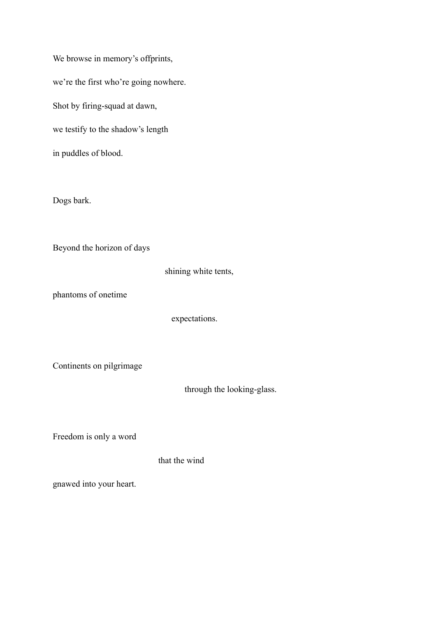We browse in memory's offprints, we're the first who're going nowhere. Shot by firing-squad at dawn, we testify to the shadow's length in puddles of blood.

Dogs bark.

Beyond the horizon of days

shining white tents,

phantoms of onetime

expectations.

Continents on pilgrimage

through the looking-glass.

Freedom is only a word

that the wind

gnawed into your heart.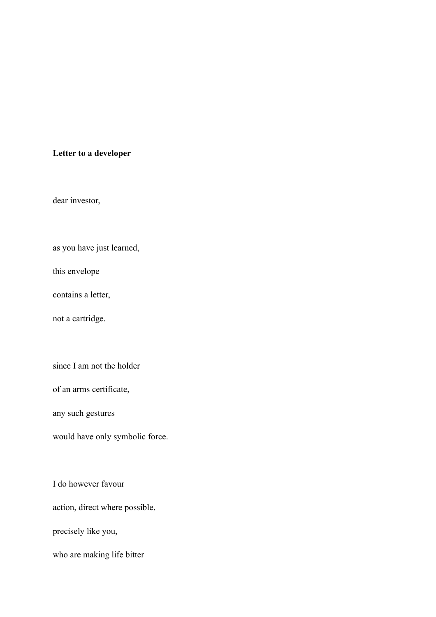## **Letter to a developer**

dear investor,

as you have just learned,

this envelope

contains a letter,

not a cartridge.

since I am not the holder

of an arms certificate,

any such gestures

would have only symbolic force.

I do however favour

action, direct where possible,

precisely like you,

who are making life bitter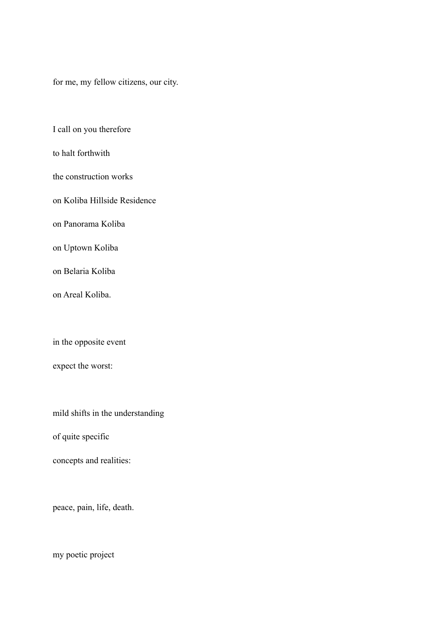for me, my fellow citizens, our city.

I call on you therefore

to halt forthwith

the construction works

on Koliba Hillside Residence

on Panorama Koliba

on Uptown Koliba

on Belaria Koliba

on Areal Koliba.

in the opposite event

expect the worst:

mild shifts in the understanding

of quite specific

concepts and realities:

peace, pain, life, death.

my poetic project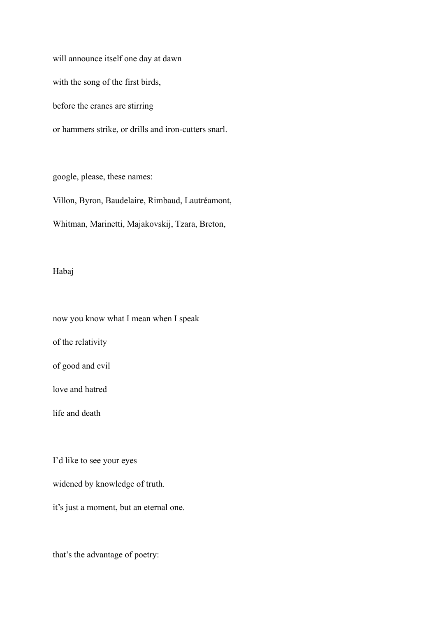will announce itself one day at dawn with the song of the first birds, before the cranes are stirring or hammers strike, or drills and iron-cutters snarl.

google, please, these names:

Villon, Byron, Baudelaire, Rimbaud, Lautréamont,

Whitman, Marinetti, Majakovskij, Tzara, Breton,

## Habaj

now you know what I mean when I speak of the relativity of good and evil love and hatred life and death

I'd like to see your eyes

widened by knowledge of truth.

it's just a moment, but an eternal one.

that's the advantage of poetry: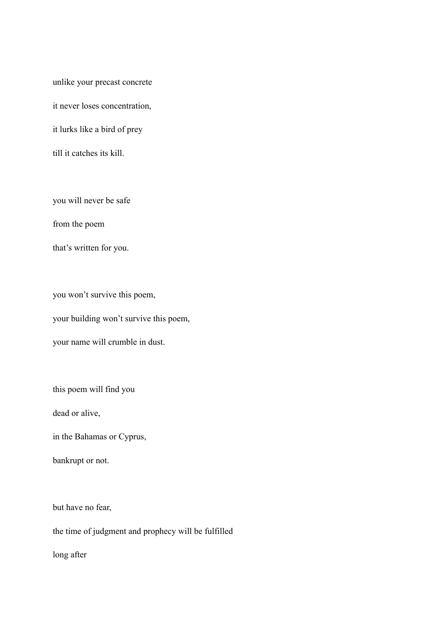unlike your precast concrete it never loses concentration, it lurks like a bird of prey till it catches its kill.

you will never be safe

from the poem

that's written for you.

you won't survive this poem, your building won't survive this poem, your name will crumble in dust.

this poem will find you

dead or alive,

in the Bahamas or Cyprus,

bankrupt or not.

but have no fear,

the time of judgment and prophecy will be fulfilled

long after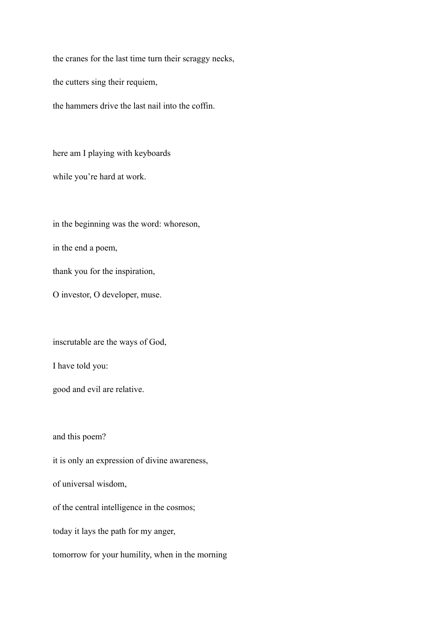the cranes for the last time turn their scraggy necks,

the cutters sing their requiem,

the hammers drive the last nail into the coffin.

here am I playing with keyboards

while you're hard at work.

in the beginning was the word: whoreson,

in the end a poem,

thank you for the inspiration,

O investor, O developer, muse.

inscrutable are the ways of God,

I have told you:

good and evil are relative.

and this poem?

it is only an expression of divine awareness, of universal wisdom, of the central intelligence in the cosmos;

today it lays the path for my anger,

tomorrow for your humility, when in the morning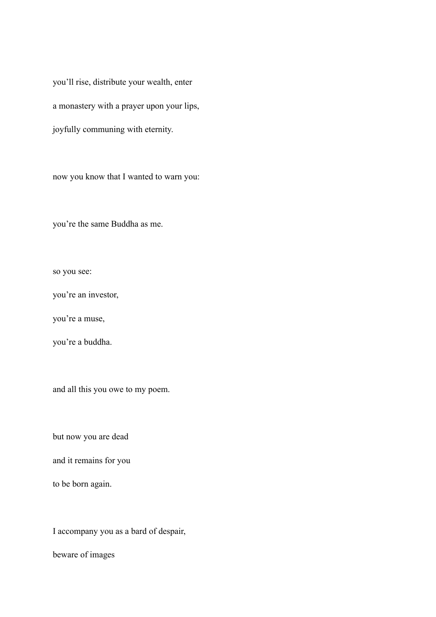you'll rise, distribute your wealth, enter a monastery with a prayer upon your lips, joyfully communing with eternity.

now you know that I wanted to warn you:

you're the same Buddha as me.

so you see:

you're an investor,

you're a muse,

you're a buddha.

and all this you owe to my poem.

but now you are dead

and it remains for you

to be born again.

I accompany you as a bard of despair,

beware of images